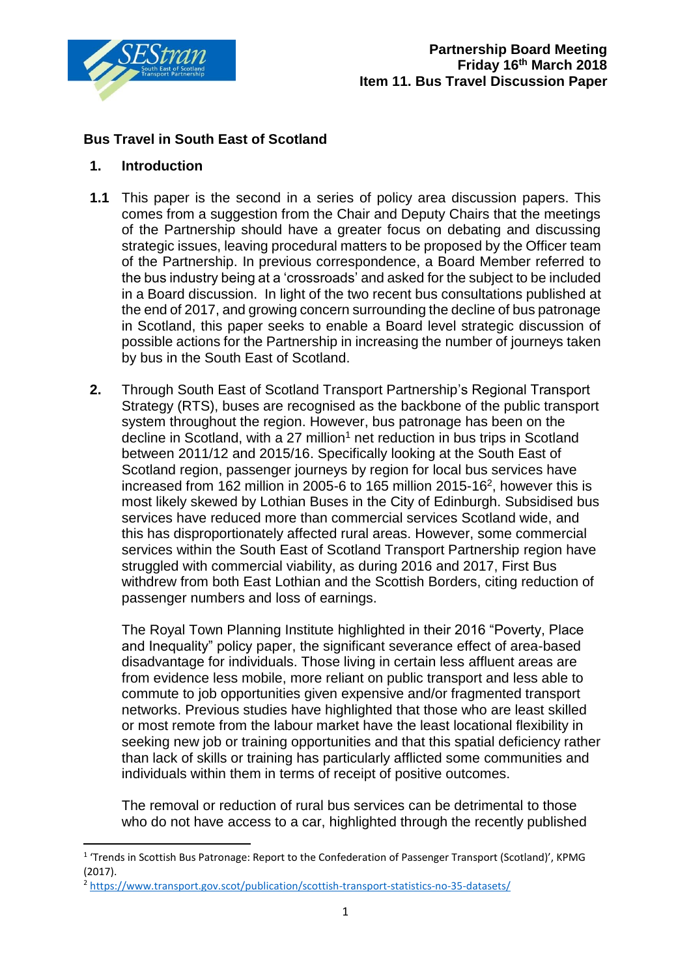

# **Bus Travel in South East of Scotland**

### **1. Introduction**

**.** 

- **1.1** This paper is the second in a series of policy area discussion papers. This comes from a suggestion from the Chair and Deputy Chairs that the meetings of the Partnership should have a greater focus on debating and discussing strategic issues, leaving procedural matters to be proposed by the Officer team of the Partnership. In previous correspondence, a Board Member referred to the bus industry being at a 'crossroads' and asked for the subject to be included in a Board discussion. In light of the two recent bus consultations published at the end of 2017, and growing concern surrounding the decline of bus patronage in Scotland, this paper seeks to enable a Board level strategic discussion of possible actions for the Partnership in increasing the number of journeys taken by bus in the South East of Scotland.
- **2.** Through South East of Scotland Transport Partnership's Regional Transport Strategy (RTS), buses are recognised as the backbone of the public transport system throughout the region. However, bus patronage has been on the decline in Scotland, with a 27 million<sup>1</sup> net reduction in bus trips in Scotland between 2011/12 and 2015/16. Specifically looking at the South East of Scotland region, passenger journeys by region for local bus services have increased from 162 million in 2005-6 to 165 million 2015-16<sup>2</sup>, however this is most likely skewed by Lothian Buses in the City of Edinburgh. Subsidised bus services have reduced more than commercial services Scotland wide, and this has disproportionately affected rural areas. However, some commercial services within the South East of Scotland Transport Partnership region have struggled with commercial viability, as during 2016 and 2017. First Bus withdrew from both East Lothian and the Scottish Borders, citing reduction of passenger numbers and loss of earnings.

The Royal Town Planning Institute highlighted in their 2016 "Poverty, Place and Inequality" policy paper, the significant severance effect of area-based disadvantage for individuals. Those living in certain less affluent areas are from evidence less mobile, more reliant on public transport and less able to commute to job opportunities given expensive and/or fragmented transport networks. Previous studies have highlighted that those who are least skilled or most remote from the labour market have the least locational flexibility in seeking new job or training opportunities and that this spatial deficiency rather than lack of skills or training has particularly afflicted some communities and individuals within them in terms of receipt of positive outcomes.

The removal or reduction of rural bus services can be detrimental to those who do not have access to a car, highlighted through the recently published

<sup>&</sup>lt;sup>1</sup> 'Trends in Scottish Bus Patronage: Report to the Confederation of Passenger Transport (Scotland)', KPMG (2017).

<sup>2</sup> <https://www.transport.gov.scot/publication/scottish-transport-statistics-no-35-datasets/>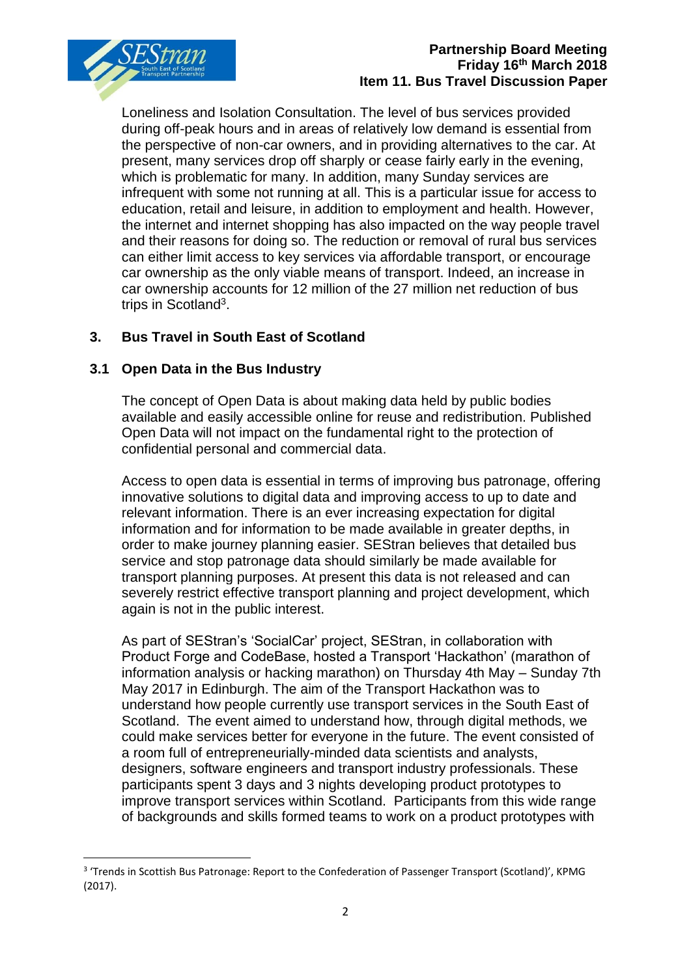

### **Partnership Board Meeting Friday 16th March 2018 Item 11. Bus Travel Discussion Paper**

Loneliness and Isolation Consultation. The level of bus services provided during off-peak hours and in areas of relatively low demand is essential from the perspective of non-car owners, and in providing alternatives to the car. At present, many services drop off sharply or cease fairly early in the evening, which is problematic for many. In addition, many Sunday services are infrequent with some not running at all. This is a particular issue for access to education, retail and leisure, in addition to employment and health. However, the internet and internet shopping has also impacted on the way people travel and their reasons for doing so. The reduction or removal of rural bus services can either limit access to key services via affordable transport, or encourage car ownership as the only viable means of transport. Indeed, an increase in car ownership accounts for 12 million of the 27 million net reduction of bus trips in Scotland<sup>3</sup>.

# **3. Bus Travel in South East of Scotland**

## **3.1 Open Data in the Bus Industry**

1

The concept of Open Data is about making data held by public bodies available and easily accessible online for reuse and redistribution. Published Open Data will not impact on the fundamental right to the protection of confidential personal and commercial data.

Access to open data is essential in terms of improving bus patronage, offering innovative solutions to digital data and improving access to up to date and relevant information. There is an ever increasing expectation for digital information and for information to be made available in greater depths, in order to make journey planning easier. SEStran believes that detailed bus service and stop patronage data should similarly be made available for transport planning purposes. At present this data is not released and can severely restrict effective transport planning and project development, which again is not in the public interest.

As part of SEStran's 'SocialCar' project, SEStran, in collaboration with Product Forge and CodeBase, hosted a Transport 'Hackathon' (marathon of information analysis or hacking marathon) on Thursday 4th May – Sunday 7th May 2017 in Edinburgh. The aim of the Transport Hackathon was to understand how people currently use transport services in the South East of Scotland. The event aimed to understand how, through digital methods, we could make services better for everyone in the future. The event consisted of a room full of entrepreneurially-minded data scientists and analysts, designers, software engineers and transport industry professionals. These participants spent 3 days and 3 nights developing product prototypes to improve transport services within Scotland. Participants from this wide range of backgrounds and skills formed teams to work on a product prototypes with

<sup>&</sup>lt;sup>3</sup> 'Trends in Scottish Bus Patronage: Report to the Confederation of Passenger Transport (Scotland)', KPMG (2017).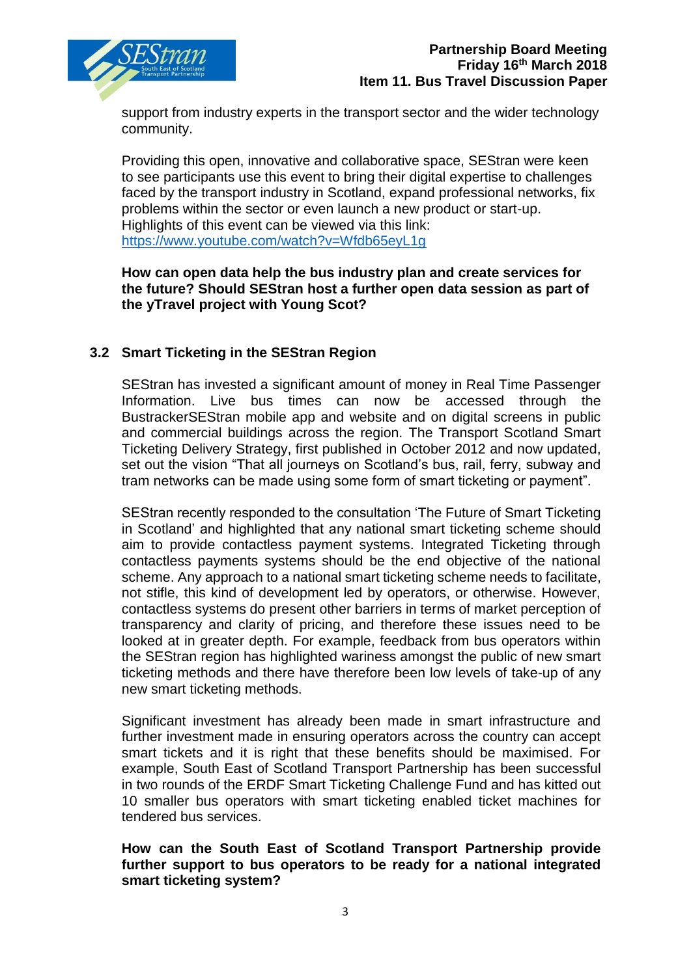

support from industry experts in the transport sector and the wider technology community.

Providing this open, innovative and collaborative space, SEStran were keen to see participants use this event to bring their digital expertise to challenges faced by the transport industry in Scotland, expand professional networks, fix problems within the sector or even launch a new product or start-up. Highlights of this event can be viewed via this link: <https://www.youtube.com/watch?v=Wfdb65eyL1g>

### **How can open data help the bus industry plan and create services for the future? Should SEStran host a further open data session as part of the yTravel project with Young Scot?**

# **3.2 Smart Ticketing in the SEStran Region**

SEStran has invested a significant amount of money in Real Time Passenger Information. Live bus times can now be accessed through the BustrackerSEStran mobile app and website and on digital screens in public and commercial buildings across the region. The Transport Scotland Smart Ticketing Delivery Strategy, first published in October 2012 and now updated, set out the vision "That all journeys on Scotland's bus, rail, ferry, subway and tram networks can be made using some form of smart ticketing or payment".

SEStran recently responded to the consultation 'The Future of Smart Ticketing in Scotland' and highlighted that any national smart ticketing scheme should aim to provide contactless payment systems. Integrated Ticketing through contactless payments systems should be the end objective of the national scheme. Any approach to a national smart ticketing scheme needs to facilitate, not stifle, this kind of development led by operators, or otherwise. However, contactless systems do present other barriers in terms of market perception of transparency and clarity of pricing, and therefore these issues need to be looked at in greater depth. For example, feedback from bus operators within the SEStran region has highlighted wariness amongst the public of new smart ticketing methods and there have therefore been low levels of take-up of any new smart ticketing methods.

Significant investment has already been made in smart infrastructure and further investment made in ensuring operators across the country can accept smart tickets and it is right that these benefits should be maximised. For example, South East of Scotland Transport Partnership has been successful in two rounds of the ERDF Smart Ticketing Challenge Fund and has kitted out 10 smaller bus operators with smart ticketing enabled ticket machines for tendered bus services.

### **How can the South East of Scotland Transport Partnership provide further support to bus operators to be ready for a national integrated smart ticketing system?**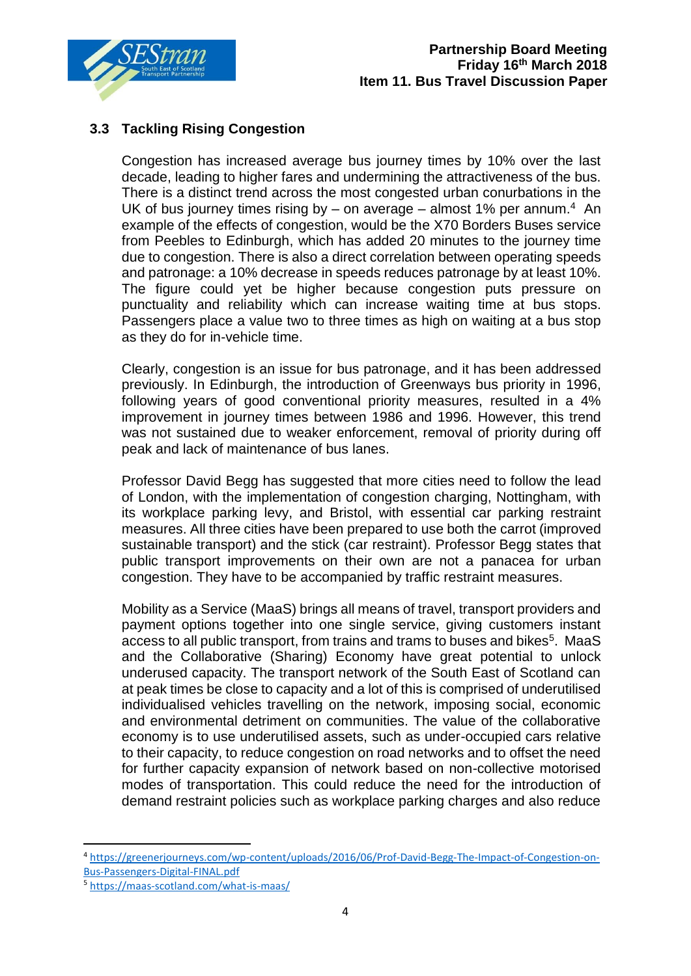

# **3.3 Tackling Rising Congestion**

Congestion has increased average bus journey times by 10% over the last decade, leading to higher fares and undermining the attractiveness of the bus. There is a distinct trend across the most congested urban conurbations in the UK of bus journey times rising by  $-$  on average  $-$  almost 1% per annum.<sup>4</sup> An example of the effects of congestion, would be the X70 Borders Buses service from Peebles to Edinburgh, which has added 20 minutes to the journey time due to congestion. There is also a direct correlation between operating speeds and patronage: a 10% decrease in speeds reduces patronage by at least 10%. The figure could yet be higher because congestion puts pressure on punctuality and reliability which can increase waiting time at bus stops. Passengers place a value two to three times as high on waiting at a bus stop as they do for in-vehicle time.

Clearly, congestion is an issue for bus patronage, and it has been addressed previously. In Edinburgh, the introduction of Greenways bus priority in 1996, following years of good conventional priority measures, resulted in a 4% improvement in journey times between 1986 and 1996. However, this trend was not sustained due to weaker enforcement, removal of priority during off peak and lack of maintenance of bus lanes.

Professor David Begg has suggested that more cities need to follow the lead of London, with the implementation of congestion charging, Nottingham, with its workplace parking levy, and Bristol, with essential car parking restraint measures. All three cities have been prepared to use both the carrot (improved sustainable transport) and the stick (car restraint). Professor Begg states that public transport improvements on their own are not a panacea for urban congestion. They have to be accompanied by traffic restraint measures.

Mobility as a Service (MaaS) brings all means of travel, transport providers and payment options together into one single service, giving customers instant access to all public transport, from trains and trams to buses and bikes<sup>5</sup>. MaaS and the Collaborative (Sharing) Economy have great potential to unlock underused capacity. The transport network of the South East of Scotland can at peak times be close to capacity and a lot of this is comprised of underutilised individualised vehicles travelling on the network, imposing social, economic and environmental detriment on communities. The value of the collaborative economy is to use underutilised assets, such as under-occupied cars relative to their capacity, to reduce congestion on road networks and to offset the need for further capacity expansion of network based on non-collective motorised modes of transportation. This could reduce the need for the introduction of demand restraint policies such as workplace parking charges and also reduce

**.** 

<sup>4</sup> [https://greenerjourneys.com/wp-content/uploads/2016/06/Prof-David-Begg-The-Impact-of-Congestion-on-](https://greenerjourneys.com/wp-content/uploads/2016/06/Prof-David-Begg-The-Impact-of-Congestion-on-Bus-Passengers-Digital-FINAL.pdf)[Bus-Passengers-Digital-FINAL.pdf](https://greenerjourneys.com/wp-content/uploads/2016/06/Prof-David-Begg-The-Impact-of-Congestion-on-Bus-Passengers-Digital-FINAL.pdf)

<sup>5</sup> <https://maas-scotland.com/what-is-maas/>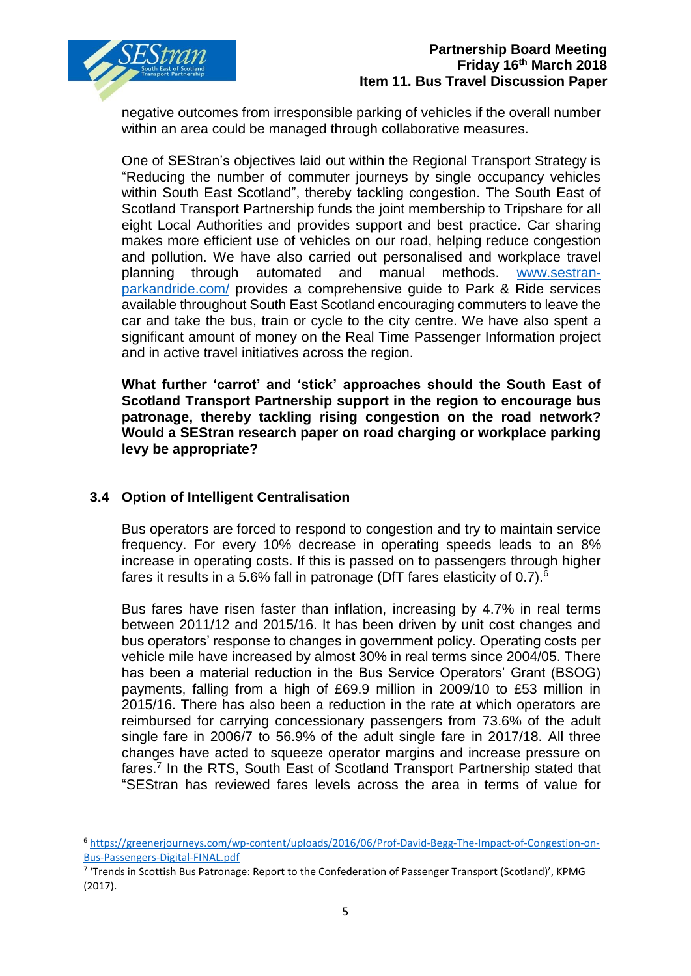

negative outcomes from irresponsible parking of vehicles if the overall number within an area could be managed through collaborative measures.

One of SEStran's objectives laid out within the Regional Transport Strategy is "Reducing the number of commuter journeys by single occupancy vehicles within South East Scotland", thereby tackling congestion. The South East of Scotland Transport Partnership funds the joint membership to Tripshare for all eight Local Authorities and provides support and best practice. Car sharing makes more efficient use of vehicles on our road, helping reduce congestion and pollution. We have also carried out personalised and workplace travel planning through automated and manual methods. [www.sestran](http://www.sestran-parkandride.com/)[parkandride.com/](http://www.sestran-parkandride.com/) provides a comprehensive guide to Park & Ride services available throughout South East Scotland encouraging commuters to leave the car and take the bus, train or cycle to the city centre. We have also spent a significant amount of money on the Real Time Passenger Information project and in active travel initiatives across the region.

**What further 'carrot' and 'stick' approaches should the South East of Scotland Transport Partnership support in the region to encourage bus patronage, thereby tackling rising congestion on the road network? Would a SEStran research paper on road charging or workplace parking levy be appropriate?**

### **3.4 Option of Intelligent Centralisation**

1

Bus operators are forced to respond to congestion and try to maintain service frequency. For every 10% decrease in operating speeds leads to an 8% increase in operating costs. If this is passed on to passengers through higher fares it results in a 5.6% fall in patronage (DfT fares elasticity of 0.7).<sup>6</sup>

Bus fares have risen faster than inflation, increasing by 4.7% in real terms between 2011/12 and 2015/16. It has been driven by unit cost changes and bus operators' response to changes in government policy. Operating costs per vehicle mile have increased by almost 30% in real terms since 2004/05. There has been a material reduction in the Bus Service Operators' Grant (BSOG) payments, falling from a high of £69.9 million in 2009/10 to £53 million in 2015/16. There has also been a reduction in the rate at which operators are reimbursed for carrying concessionary passengers from 73.6% of the adult single fare in 2006/7 to 56.9% of the adult single fare in 2017/18. All three changes have acted to squeeze operator margins and increase pressure on fares.<sup>7</sup> In the RTS, South East of Scotland Transport Partnership stated that "SEStran has reviewed fares levels across the area in terms of value for

<sup>6</sup> [https://greenerjourneys.com/wp-content/uploads/2016/06/Prof-David-Begg-The-Impact-of-Congestion-on-](https://greenerjourneys.com/wp-content/uploads/2016/06/Prof-David-Begg-The-Impact-of-Congestion-on-Bus-Passengers-Digital-FINAL.pdf)[Bus-Passengers-Digital-FINAL.pdf](https://greenerjourneys.com/wp-content/uploads/2016/06/Prof-David-Begg-The-Impact-of-Congestion-on-Bus-Passengers-Digital-FINAL.pdf)

<sup>&</sup>lt;sup>7</sup> 'Trends in Scottish Bus Patronage: Report to the Confederation of Passenger Transport (Scotland)', KPMG (2017).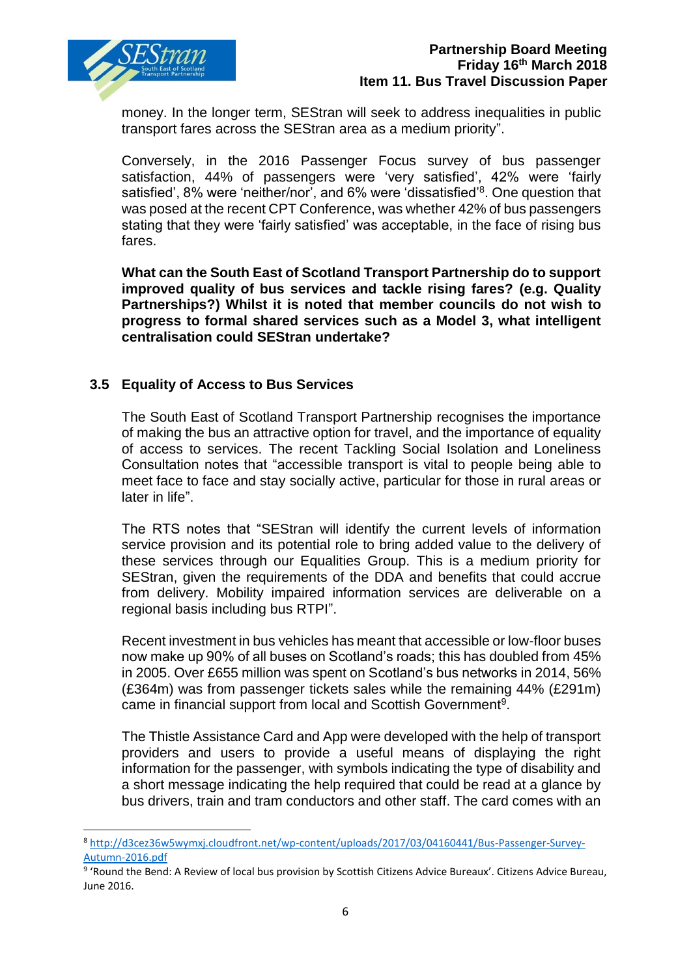

1

money. In the longer term, SEStran will seek to address inequalities in public transport fares across the SEStran area as a medium priority".

Conversely, in the 2016 Passenger Focus survey of bus passenger satisfaction, 44% of passengers were 'very satisfied', 42% were 'fairly satisfied', 8% were 'neither/nor', and 6% were 'dissatisfied'<sup>8</sup>. One question that was posed at the recent CPT Conference, was whether 42% of bus passengers stating that they were 'fairly satisfied' was acceptable, in the face of rising bus fares.

**What can the South East of Scotland Transport Partnership do to support improved quality of bus services and tackle rising fares? (e.g. Quality Partnerships?) Whilst it is noted that member councils do not wish to progress to formal shared services such as a Model 3, what intelligent centralisation could SEStran undertake?**

### **3.5 Equality of Access to Bus Services**

The South East of Scotland Transport Partnership recognises the importance of making the bus an attractive option for travel, and the importance of equality of access to services. The recent Tackling Social Isolation and Loneliness Consultation notes that "accessible transport is vital to people being able to meet face to face and stay socially active, particular for those in rural areas or later in life".

The RTS notes that "SEStran will identify the current levels of information service provision and its potential role to bring added value to the delivery of these services through our Equalities Group. This is a medium priority for SEStran, given the requirements of the DDA and benefits that could accrue from delivery. Mobility impaired information services are deliverable on a regional basis including bus RTPI".

Recent investment in bus vehicles has meant that accessible or low-floor buses now make up 90% of all buses on Scotland's roads; this has doubled from 45% in 2005. Over £655 million was spent on Scotland's bus networks in 2014, 56% (£364m) was from passenger tickets sales while the remaining 44% (£291m) came in financial support from local and Scottish Government<sup>9</sup>.

The Thistle Assistance Card and App were developed with the help of transport providers and users to provide a useful means of displaying the right information for the passenger, with symbols indicating the type of disability and a short message indicating the help required that could be read at a glance by bus drivers, train and tram conductors and other staff. The card comes with an

<sup>8</sup> [http://d3cez36w5wymxj.cloudfront.net/wp-content/uploads/2017/03/04160441/Bus-Passenger-Survey-](http://d3cez36w5wymxj.cloudfront.net/wp-content/uploads/2017/03/04160441/Bus-Passenger-Survey-Autumn-2016.pdf)[Autumn-2016.pdf](http://d3cez36w5wymxj.cloudfront.net/wp-content/uploads/2017/03/04160441/Bus-Passenger-Survey-Autumn-2016.pdf)

<sup>&</sup>lt;sup>9</sup> 'Round the Bend: A Review of local bus provision by Scottish Citizens Advice Bureaux'. Citizens Advice Bureau, June 2016.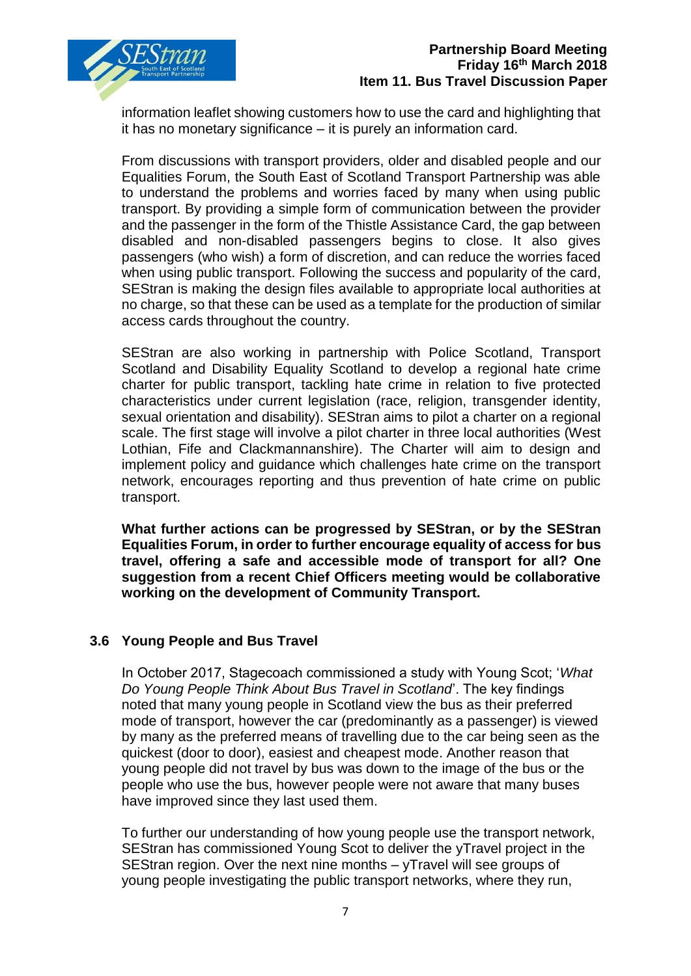

information leaflet showing customers how to use the card and highlighting that it has no monetary significance – it is purely an information card.

From discussions with transport providers, older and disabled people and our Equalities Forum, the South East of Scotland Transport Partnership was able to understand the problems and worries faced by many when using public transport. By providing a simple form of communication between the provider and the passenger in the form of the Thistle Assistance Card, the gap between disabled and non-disabled passengers begins to close. It also gives passengers (who wish) a form of discretion, and can reduce the worries faced when using public transport. Following the success and popularity of the card, SEStran is making the design files available to appropriate local authorities at no charge, so that these can be used as a template for the production of similar access cards throughout the country.

SEStran are also working in partnership with Police Scotland, Transport Scotland and Disability Equality Scotland to develop a regional hate crime charter for public transport, tackling hate crime in relation to five protected characteristics under current legislation (race, religion, transgender identity, sexual orientation and disability). SEStran aims to pilot a charter on a regional scale. The first stage will involve a pilot charter in three local authorities (West Lothian, Fife and Clackmannanshire). The Charter will aim to design and implement policy and guidance which challenges hate crime on the transport network, encourages reporting and thus prevention of hate crime on public transport.

**What further actions can be progressed by SEStran, or by the SEStran Equalities Forum, in order to further encourage equality of access for bus travel, offering a safe and accessible mode of transport for all? One suggestion from a recent Chief Officers meeting would be collaborative working on the development of Community Transport.**

### **3.6 Young People and Bus Travel**

In October 2017, Stagecoach commissioned a study with Young Scot; '*What Do Young People Think About Bus Travel in Scotland*'. The key findings noted that many young people in Scotland view the bus as their preferred mode of transport, however the car (predominantly as a passenger) is viewed by many as the preferred means of travelling due to the car being seen as the quickest (door to door), easiest and cheapest mode. Another reason that young people did not travel by bus was down to the image of the bus or the people who use the bus, however people were not aware that many buses have improved since they last used them.

To further our understanding of how young people use the transport network, SEStran has commissioned Young Scot to deliver the yTravel project in the SEStran region. Over the next nine months – yTravel will see groups of young people investigating the public transport networks, where they run,